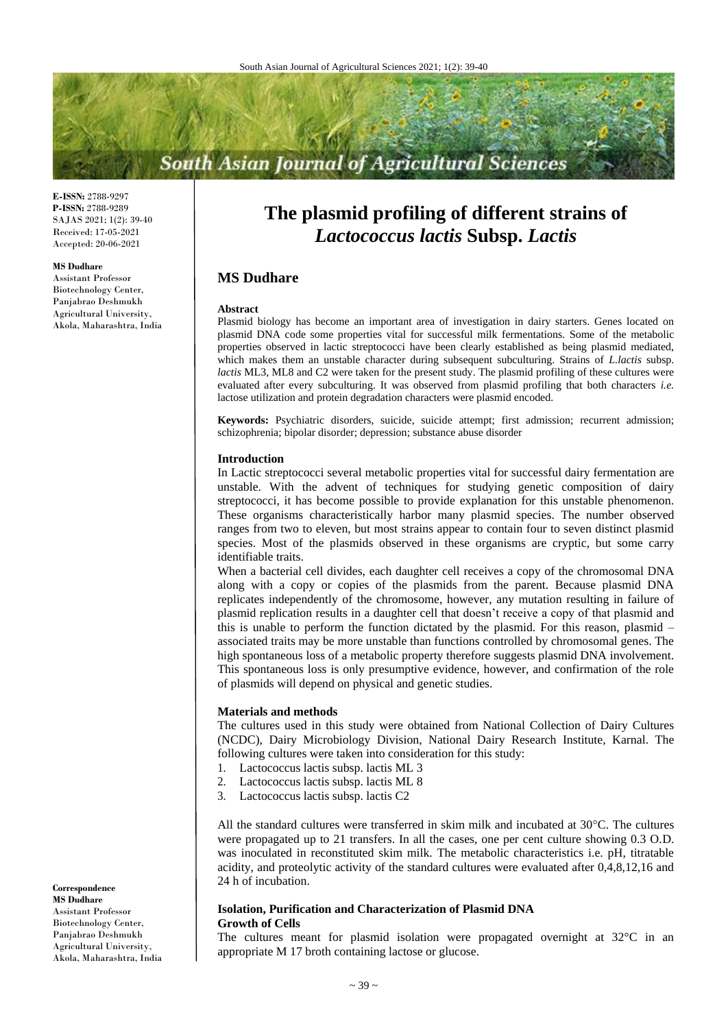# **South Asian Journal of Agricultural Sciences**

**E-ISSN:** 2788-9297 **P-ISSN:** 2788-9289 SAJAS 2021; 1(2): 39-40 Received: 17-05-2021 Accepted: 20-06-2021

#### **MS Dudhare**

Assistant Professor Biotechnology Center, Panjabrao Deshmukh Agricultural University, Akola, Maharashtra, India

# **The plasmid profiling of different strains of** *Lactococcus lactis* **Subsp.** *Lactis*

## **MS Dudhare**

#### **Abstract**

Plasmid biology has become an important area of investigation in dairy starters. Genes located on plasmid DNA code some properties vital for successful milk fermentations. Some of the metabolic properties observed in lactic streptococci have been clearly established as being plasmid mediated, which makes them an unstable character during subsequent subculturing. Strains of *L.lactis* subsp. *lactis* ML3, ML8 and C2 were taken for the present study. The plasmid profiling of these cultures were evaluated after every subculturing. It was observed from plasmid profiling that both characters *i.e.*  lactose utilization and protein degradation characters were plasmid encoded.

**Keywords:** Psychiatric disorders, suicide, suicide attempt; first admission; recurrent admission; schizophrenia; bipolar disorder; depression; substance abuse disorder

#### **Introduction**

In Lactic streptococci several metabolic properties vital for successful dairy fermentation are unstable. With the advent of techniques for studying genetic composition of dairy streptococci, it has become possible to provide explanation for this unstable phenomenon. These organisms characteristically harbor many plasmid species. The number observed ranges from two to eleven, but most strains appear to contain four to seven distinct plasmid species. Most of the plasmids observed in these organisms are cryptic, but some carry identifiable traits.

When a bacterial cell divides, each daughter cell receives a copy of the chromosomal DNA along with a copy or copies of the plasmids from the parent. Because plasmid DNA replicates independently of the chromosome, however, any mutation resulting in failure of plasmid replication results in a daughter cell that doesn't receive a copy of that plasmid and this is unable to perform the function dictated by the plasmid. For this reason, plasmid – associated traits may be more unstable than functions controlled by chromosomal genes. The high spontaneous loss of a metabolic property therefore suggests plasmid DNA involvement. This spontaneous loss is only presumptive evidence, however, and confirmation of the role of plasmids will depend on physical and genetic studies.

#### **Materials and methods**

The cultures used in this study were obtained from National Collection of Dairy Cultures (NCDC), Dairy Microbiology Division, National Dairy Research Institute, Karnal. The following cultures were taken into consideration for this study:

- 1. Lactococcus lactis subsp. lactis ML 3
- 2. Lactococcus lactis subsp. lactis ML 8
- 3. Lactococcus lactis subsp. lactis C2

All the standard cultures were transferred in skim milk and incubated at  $30^{\circ}$ C. The cultures were propagated up to 21 transfers. In all the cases, one per cent culture showing 0.3 O.D. was inoculated in reconstituted skim milk. The metabolic characteristics i.e. pH, titratable acidity, and proteolytic activity of the standard cultures were evaluated after 0,4,8,12,16 and 24 h of incubation.

## **Isolation, Purification and Characterization of Plasmid DNA Growth of Cells**

The cultures meant for plasmid isolation were propagated overnight at 32°C in an appropriate M 17 broth containing lactose or glucose.

**Correspondence MS Dudhare**  Assistant Professor Biotechnology Center, Panjabrao Deshmukh Agricultural University, Akola, Maharashtra, India